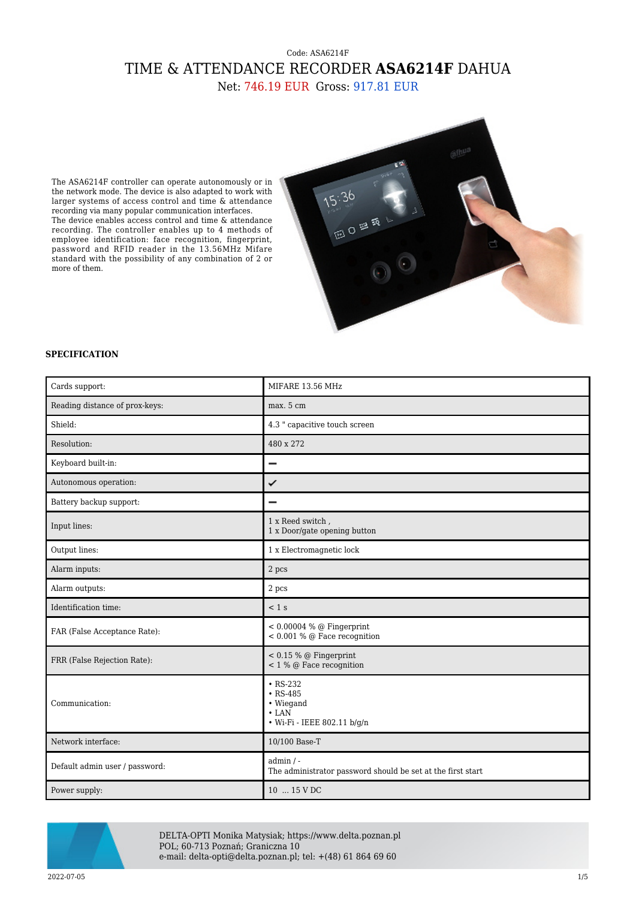## Code: ASA6214F TIME & ATTENDANCE RECORDER **ASA6214F** DAHUA Net: 746.19 EUR Gross: 917.81 EUR

The ASA6214F controller can operate autonomously or in the network mode. The device is also adapted to work with larger systems of access control and time & attendance recording via many popular communication interfaces. The device enables access control and time & attendance recording. The controller enables up to 4 methods of employee identification: face recognition, fingerprint, password and RFID reader in the 13.56MHz Mifare standard with the possibility of any combination of 2 or more of them.



## **SPECIFICATION**

| Cards support:                 | MIFARE 13.56 MHz                                                                            |
|--------------------------------|---------------------------------------------------------------------------------------------|
| Reading distance of prox-keys: | max. 5 cm                                                                                   |
| Shield:                        | 4.3 " capacitive touch screen                                                               |
| Resolution:                    | 480 x 272                                                                                   |
| Keyboard built-in:             |                                                                                             |
| Autonomous operation:          | ✓                                                                                           |
| Battery backup support:        | $\overline{\phantom{0}}$                                                                    |
| Input lines:                   | 1 x Reed switch,<br>1 x Door/gate opening button                                            |
| Output lines:                  | 1 x Electromagnetic lock                                                                    |
| Alarm inputs:                  | 2 pcs                                                                                       |
| Alarm outputs:                 | 2 pcs                                                                                       |
| Identification time:           | $< 1$ s                                                                                     |
| FAR (False Acceptance Rate):   | $< 0.00004 %$ @ Fingerprint<br>$< 0.001$ % @ Face recognition                               |
| FRR (False Rejection Rate):    | $< 0.15 %$ @ Fingerprint<br>$< 1 %$ @ Face recognition                                      |
| Communication:                 | $\cdot$ RS-232<br>$\cdot$ RS-485<br>• Wiegand<br>$\cdot$ LAN<br>• Wi-Fi - IEEE 802.11 b/g/n |
| Network interface:             | 10/100 Base-T                                                                               |
| Default admin user / password: | $admin / -$<br>The administrator password should be set at the first start                  |
| Power supply:                  | 10  15 V DC                                                                                 |



DELTA-OPTI Monika Matysiak; https://www.delta.poznan.pl POL; 60-713 Poznań; Graniczna 10 e-mail: delta-opti@delta.poznan.pl; tel: +(48) 61 864 69 60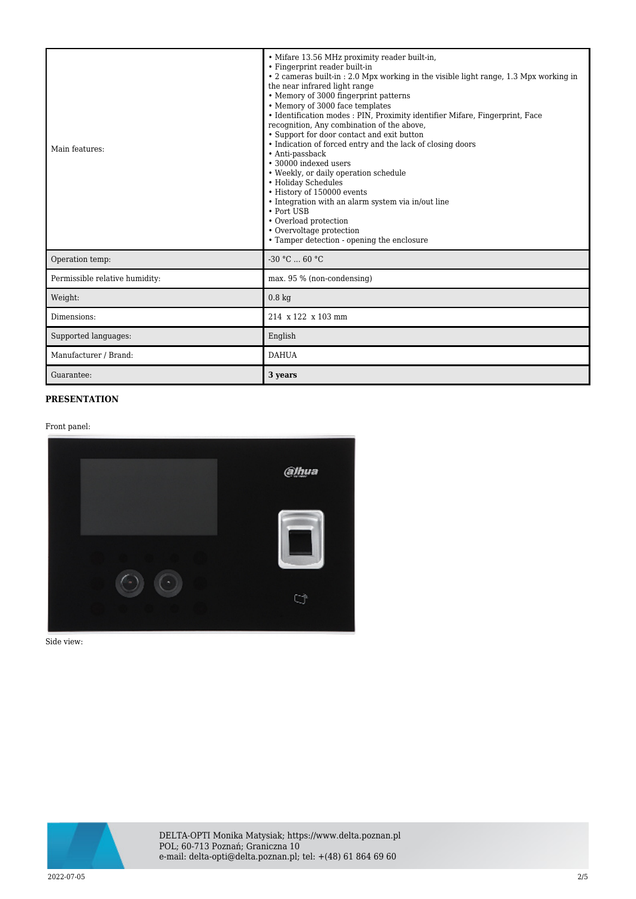| Main features:                 | • Mifare 13.56 MHz proximity reader built-in,<br>• Fingerprint reader built-in<br>• 2 cameras built-in : 2.0 Mpx working in the visible light range, 1.3 Mpx working in<br>the near infrared light range<br>• Memory of 3000 fingerprint patterns<br>• Memory of 3000 face templates<br>• Identification modes : PIN, Proximity identifier Mifare, Fingerprint, Face<br>recognition, Any combination of the above,<br>• Support for door contact and exit button<br>• Indication of forced entry and the lack of closing doors<br>• Anti-passback<br>• 30000 indexed users<br>• Weekly, or daily operation schedule<br>• Holiday Schedules<br>• History of 150000 events<br>• Integration with an alarm system via in/out line<br>• Port USB<br>• Overload protection<br>• Overvoltage protection<br>• Tamper detection - opening the enclosure |
|--------------------------------|-------------------------------------------------------------------------------------------------------------------------------------------------------------------------------------------------------------------------------------------------------------------------------------------------------------------------------------------------------------------------------------------------------------------------------------------------------------------------------------------------------------------------------------------------------------------------------------------------------------------------------------------------------------------------------------------------------------------------------------------------------------------------------------------------------------------------------------------------|
| Operation temp:                | $-30 °C$ 60 °C                                                                                                                                                                                                                                                                                                                                                                                                                                                                                                                                                                                                                                                                                                                                                                                                                                  |
| Permissible relative humidity: | max. 95 % (non-condensing)                                                                                                                                                                                                                                                                                                                                                                                                                                                                                                                                                                                                                                                                                                                                                                                                                      |
| Weight:                        | 0.8 <sub>kq</sub>                                                                                                                                                                                                                                                                                                                                                                                                                                                                                                                                                                                                                                                                                                                                                                                                                               |
| Dimensions:                    | 214 x 122 x 103 mm                                                                                                                                                                                                                                                                                                                                                                                                                                                                                                                                                                                                                                                                                                                                                                                                                              |
| Supported languages:           | English                                                                                                                                                                                                                                                                                                                                                                                                                                                                                                                                                                                                                                                                                                                                                                                                                                         |
| Manufacturer / Brand:          | <b>DAHUA</b>                                                                                                                                                                                                                                                                                                                                                                                                                                                                                                                                                                                                                                                                                                                                                                                                                                    |
| Guarantee:                     | 3 years                                                                                                                                                                                                                                                                                                                                                                                                                                                                                                                                                                                                                                                                                                                                                                                                                                         |

## **PRESENTATION**

Front panel:



Side view:

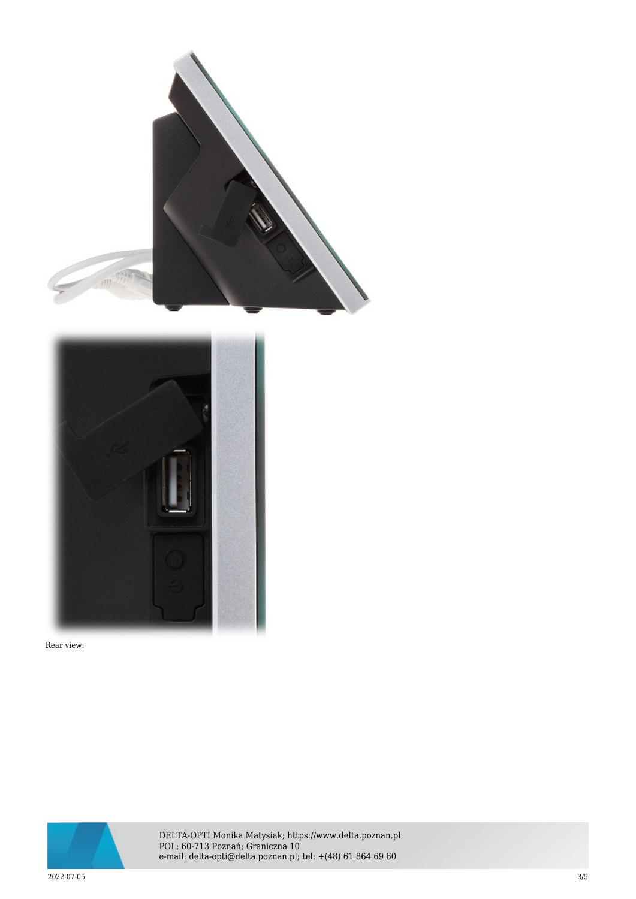



Rear view:



DELTA-OPTI Monika Matysiak; https://www.delta.poznan.pl POL; 60-713 Poznań; Graniczna 10 e-mail: delta-opti@delta.poznan.pl; tel: +(48) 61 864 69 60

2022-07-05 3/5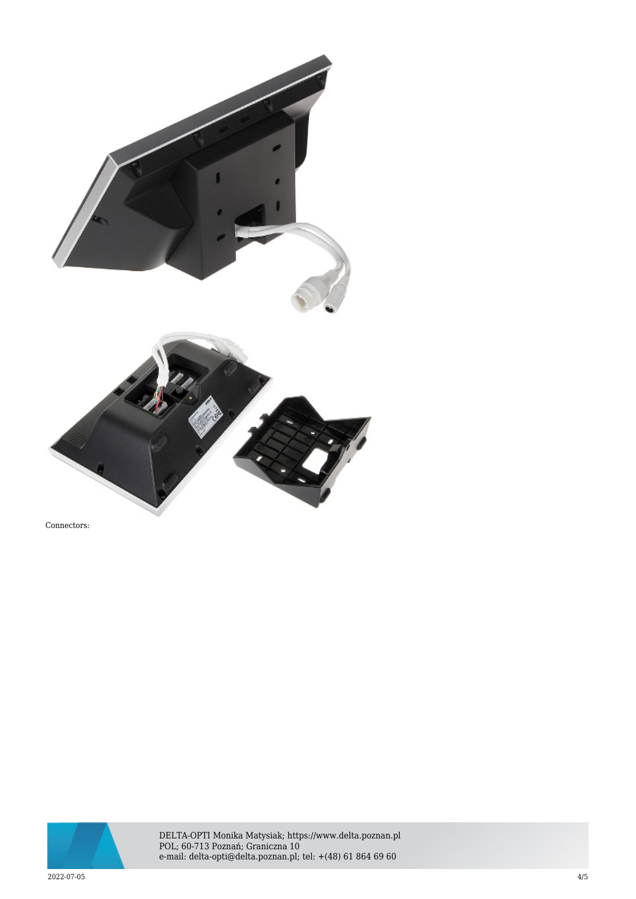

Connectors:



DELTA-OPTI Monika Matysiak; https://www.delta.poznan.pl POL; 60-713 Poznań; Graniczna 10 e-mail: delta-opti@delta.poznan.pl; tel: +(48) 61 864 69 60

2022-07-05 4/5